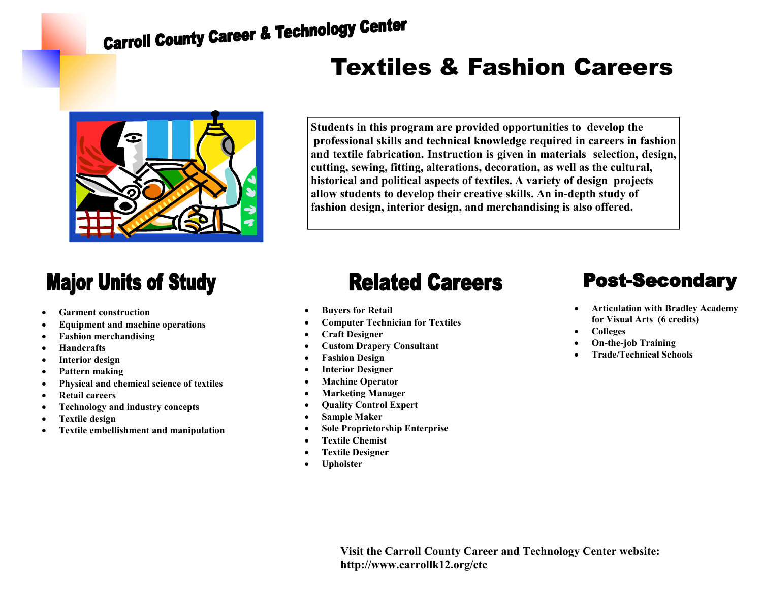# **Carroll County Career & Technology Center**

## Textiles & Fashion Careers



**Students in this program are provided opportunities to develop the professional skills and technical knowledge required in careers in fashion and textile fabrication. Instruction is given in materials selection, design, cutting, sewing, fitting, alterations, decoration, as well as the cultural, historical and political aspects of textiles. A variety of design projects allow students to develop their creative skills. An in-depth study of fashion design, interior design, and merchandising is also offered.** 

#### **Major Units of Study**

- **Garment construction**
- **Equipment and machine operations**
- **Fashion merchandising**
- **Handcrafts**
- **Interior design**
- **Pattern making**
- **Physical and chemical science of textiles**
- **Retail careers**
- **Technology and industry concepts**
- **Textile design**
- **Textile embellishment and manipulation**

### **Related Careers**

- **Buyers for Retail**
- **Computer Technician for Textiles**
- **Craft Designer**
- **Custom Drapery Consultant**
- **Fashion Design**
- **Interior Designer**
- **Machine Operator**
- **Marketing Manager**
- **Quality Control Expert**
- **Sample Maker**
- **Sole Proprietorship Enterprise**
- **Textile Chemist**
- **Textile Designer**
- **Upholster**

#### **Post-Secondary**

- **Articulation with Bradley Academy for Visual Arts (6 credits)**
- **Colleges**
- **On-the-job Training**
- **Trade/Technical Schools**

**Visit the Carroll County Career and Technology Center website: http://www.carrollk12.org/ctc**